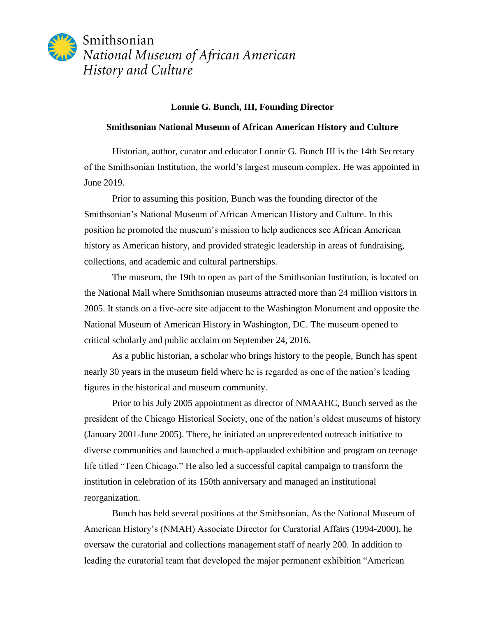

## **Lonnie G. Bunch, III, Founding Director**

## **Smithsonian National Museum of African American History and Culture**

Historian, author, curator and educator Lonnie G. Bunch III is the 14th Secretary of the Smithsonian Institution, the world's largest museum complex. He was appointed in June 2019.

Prior to assuming this position, Bunch was the founding director of the Smithsonian's National Museum of African American History and Culture. In this position he promoted the museum's mission to help audiences see African American history as American history, and provided strategic leadership in areas of fundraising, collections, and academic and cultural partnerships.

The museum, the 19th to open as part of the Smithsonian Institution, is located on the National Mall where Smithsonian museums attracted more than 24 million visitors in 2005. It stands on a five-acre site adjacent to the Washington Monument and opposite the National Museum of American History in Washington, DC. The museum opened to critical scholarly and public acclaim on September 24, 2016.

As a public historian, a scholar who brings history to the people, Bunch has spent nearly 30 years in the museum field where he is regarded as one of the nation's leading figures in the historical and museum community.

Prior to his July 2005 appointment as director of NMAAHC, Bunch served as the president of the Chicago Historical Society, one of the nation's oldest museums of history (January 2001-June 2005). There, he initiated an unprecedented outreach initiative to diverse communities and launched a much-applauded exhibition and program on teenage life titled "Teen Chicago." He also led a successful capital campaign to transform the institution in celebration of its 150th anniversary and managed an institutional reorganization.

Bunch has held several positions at the Smithsonian. As the National Museum of American History's (NMAH) Associate Director for Curatorial Affairs (1994-2000), he oversaw the curatorial and collections management staff of nearly 200. In addition to leading the curatorial team that developed the major permanent exhibition "American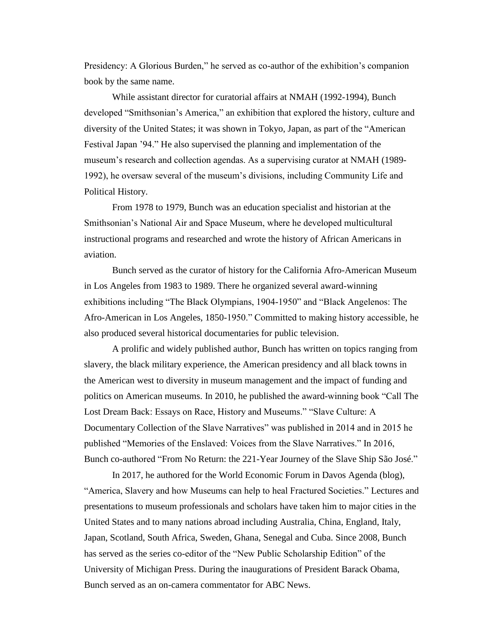Presidency: A Glorious Burden," he served as co-author of the exhibition's companion book by the same name.

While assistant director for curatorial affairs at NMAH (1992-1994), Bunch developed "Smithsonian's America," an exhibition that explored the history, culture and diversity of the United States; it was shown in Tokyo, Japan, as part of the "American Festival Japan '94." He also supervised the planning and implementation of the museum's research and collection agendas. As a supervising curator at NMAH (1989- 1992), he oversaw several of the museum's divisions, including Community Life and Political History.

From 1978 to 1979, Bunch was an education specialist and historian at the Smithsonian's National Air and Space Museum, where he developed multicultural instructional programs and researched and wrote the history of African Americans in aviation.

Bunch served as the curator of history for the California Afro-American Museum in Los Angeles from 1983 to 1989. There he organized several award-winning exhibitions including "The Black Olympians, 1904-1950" and "Black Angelenos: The Afro-American in Los Angeles, 1850-1950." Committed to making history accessible, he also produced several historical documentaries for public television.

A prolific and widely published author, Bunch has written on topics ranging from slavery, the black military experience, the American presidency and all black towns in the American west to diversity in museum management and the impact of funding and politics on American museums. In 2010, he published the award-winning book "Call The Lost Dream Back: Essays on Race, History and Museums." "Slave Culture: A Documentary Collection of the Slave Narratives" was published in 2014 and in 2015 he published "Memories of the Enslaved: Voices from the Slave Narratives." In 2016, Bunch co-authored "From No Return: the 221-Year Journey of the Slave Ship São José."

In 2017, he authored for the World Economic Forum in Davos Agenda (blog), "America, Slavery and how Museums can help to heal Fractured Societies." Lectures and presentations to museum professionals and scholars have taken him to major cities in the United States and to many nations abroad including Australia, China, England, Italy, Japan, Scotland, South Africa, Sweden, Ghana, Senegal and Cuba. Since 2008, Bunch has served as the series co-editor of the "New Public Scholarship Edition" of the University of Michigan Press. During the inaugurations of President Barack Obama, Bunch served as an on-camera commentator for ABC News.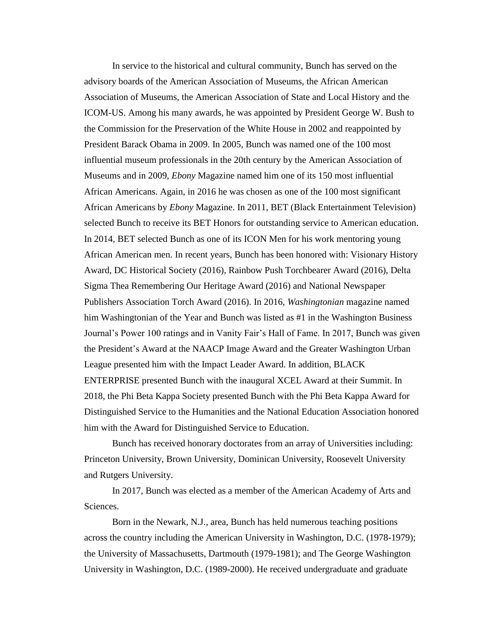In service to the historical and cultural community, Bunch has served on the advisory boards of the American Association of Museums, the African American Association of Museums, the American Association of State and Local History and the ICOM-US. Among his many awards, he was appointed by President George W. Bush to the Commission for the Preservation of the White House in 2002 and reappointed by President Barack Obama in 2009. In 2005, Bunch was named one of the 100 most influential museum professionals in the 20th century by the American Association of Museums and in 2009, *Ebony* Magazine named him one of its 150 most influential African Americans. Again, in 2016 he was chosen as one of the 100 most significant African Americans by *Ebony* Magazine. In 2011, BET (Black Entertainment Television) selected Bunch to receive its BET Honors for outstanding service to American education. In 2014, BET selected Bunch as one of its ICON Men for his work mentoring young African American men. In recent years, Bunch has been honored with: Visionary History Award, DC Historical Society (2016), Rainbow Push Torchbearer Award (2016), Delta Sigma Thea Remembering Our Heritage Award (2016) and National Newspaper Publishers Association Torch Award (2016). In 2016, *Washingtonian* magazine named him Washingtonian of the Year and Bunch was listed as #1 in the Washington Business Journal's Power 100 ratings and in Vanity Fair's Hall of Fame. In 2017, Bunch was given the President's Award at the NAACP Image Award and the Greater Washington Urban League presented him with the Impact Leader Award. In addition, BLACK ENTERPRISE presented Bunch with the inaugural XCEL Award at their Summit. In 2018, the Phi Beta Kappa Society presented Bunch with the Phi Beta Kappa Award for Distinguished Service to the Humanities and the National Education Association honored him with the Award for Distinguished Service to Education.

Bunch has received honorary doctorates from an array of Universities including: Princeton University, Brown University, Dominican University, Roosevelt University and Rutgers University.

In 2017, Bunch was elected as a member of the American Academy of Arts and Sciences.

Born in the Newark, N.J., area, Bunch has held numerous teaching positions across the country including the American University in Washington, D.C. (1978-1979); the University of Massachusetts, Dartmouth (1979-1981); and The George Washington University in Washington, D.C. (1989-2000). He received undergraduate and graduate